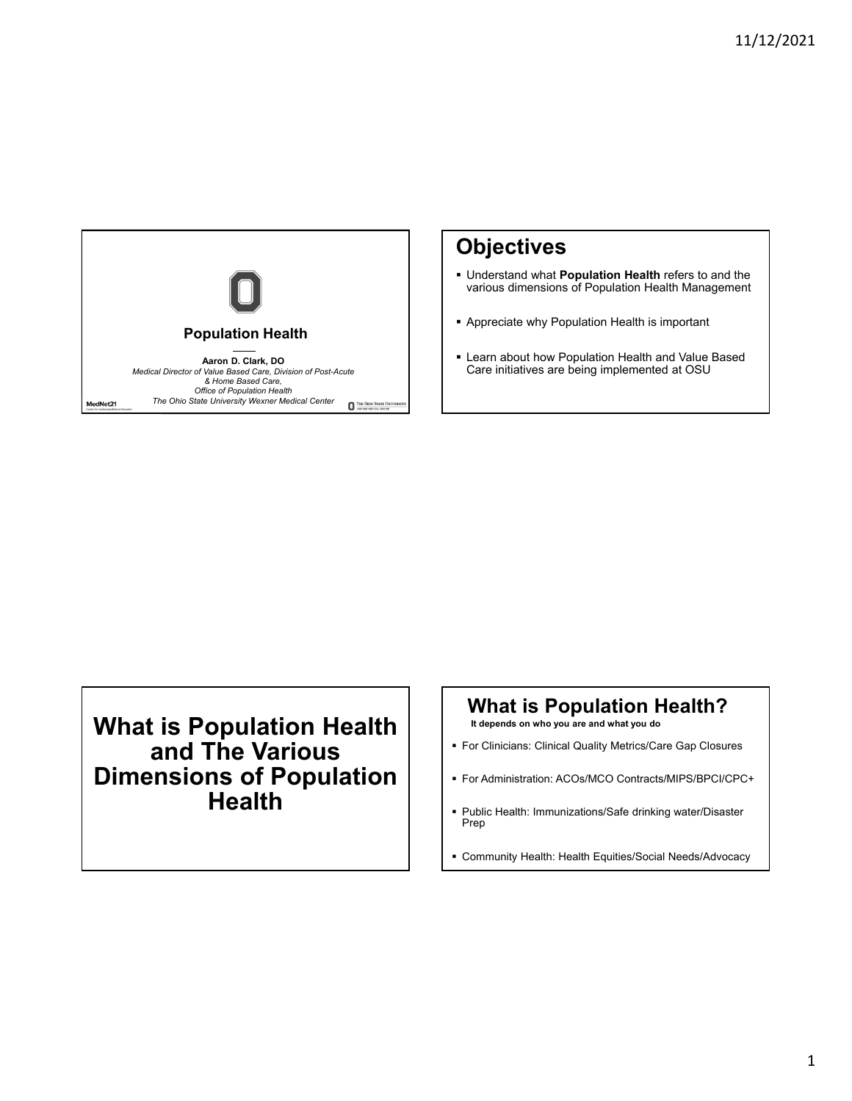

## **Objectives**

- Understand what **Population Health** refers to and the various dimensions of Population Health Management
- Appreciate why Population Health is important
- **Exame about how Population Health and Value Based** Care initiatives are being implemented at OSU

**What is Population Health and The Various Dimensions of Population Health**

# **What is Population Health?**

**It depends on who you are and what you do**

- For Clinicians: Clinical Quality Metrics/Care Gap Closures
- For Administration: ACOs/MCO Contracts/MIPS/BPCI/CPC+
- Public Health: Immunizations/Safe drinking water/Disaster Prep
- Community Health: Health Equities/Social Needs/Advocacy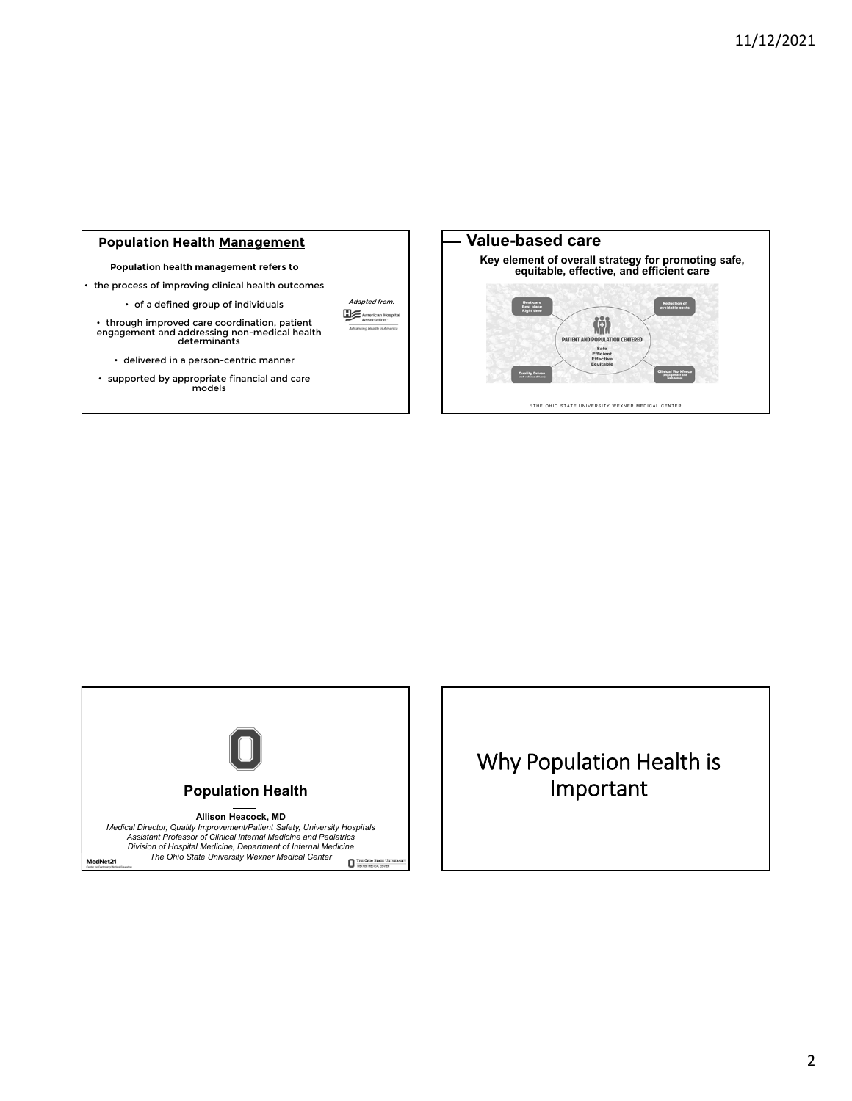#### **Population Health Management**

#### **Population health management refers to**

the process of improving clinical health outcomes

Adapted from:

American Hospital

• of a defined group of individuals

• through improved care coordination, patient engagement and addressing non-medical health determinants

• delivered in a person-centric manner

• supported by appropriate financial and care models





# Why Population Health is Important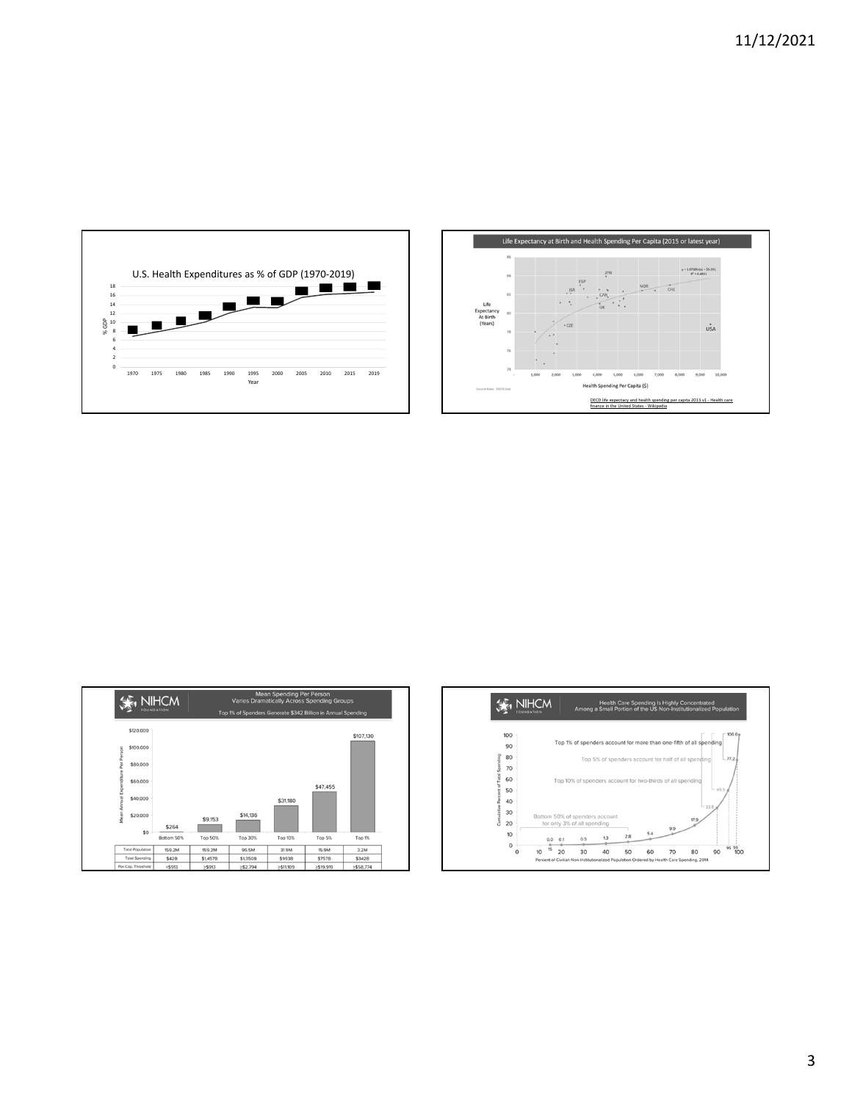







3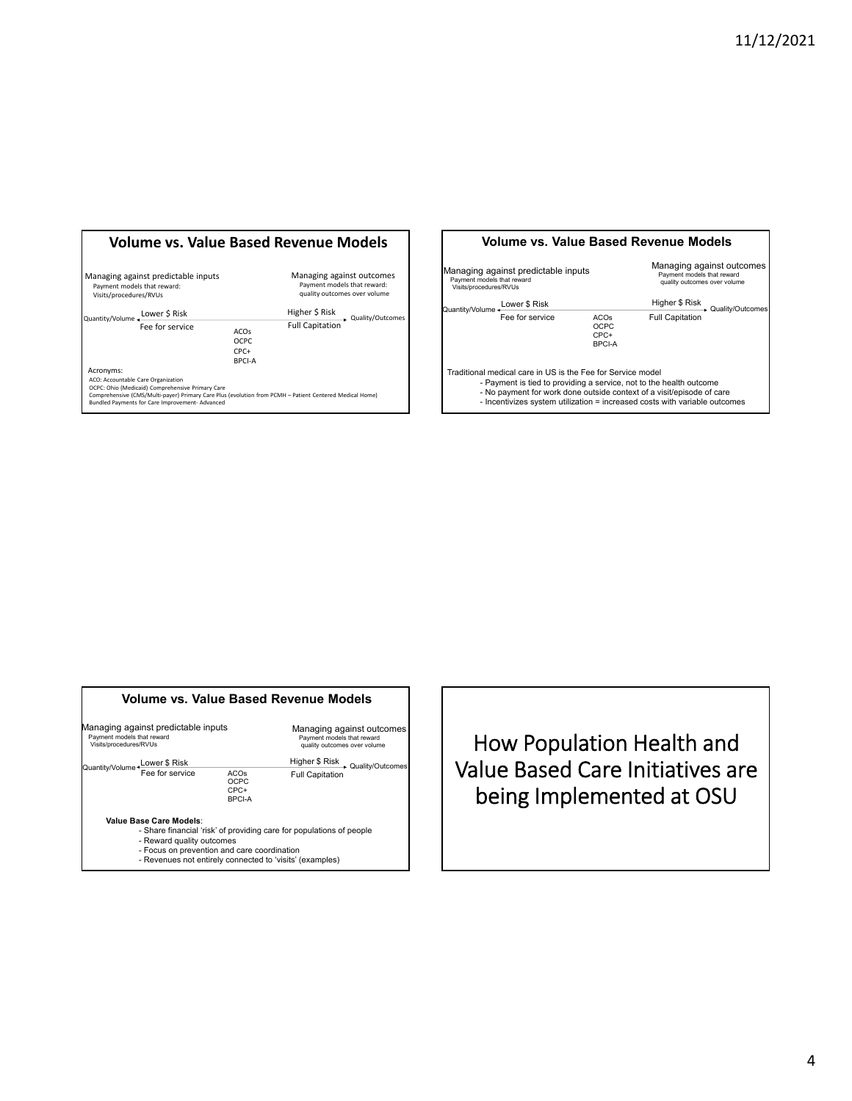

| Managing against predictable inputs<br>Payment models that reward<br>Visits/procedures/RVUs                                        |                                         | Managing against outcomes<br>Payment models that reward<br>quality outcomes over volume                                                             |
|------------------------------------------------------------------------------------------------------------------------------------|-----------------------------------------|-----------------------------------------------------------------------------------------------------------------------------------------------------|
| Lower \$ Risk<br>Quantity/Volume -                                                                                                 |                                         | Higher \$ Risk<br>- Quality/Outcomes                                                                                                                |
| Fee for service                                                                                                                    | ACOs<br>OCPC<br>$CPC+$<br><b>BPCI-A</b> | <b>Full Capitation</b>                                                                                                                              |
| Traditional medical care in US is the Fee for Service model<br>- Payment is tied to providing a service, not to the health outcome |                                         | - No payment for work done outside context of a visit/episode of care<br>- Incentivizes system utilization = increased costs with variable outcomes |

| Payment models that reward<br>Visits/procedures/RVUs | Managing against predictable inputs |                                              | Managing against outcomes<br>Payment models that reward<br>quality outcomes over volume |
|------------------------------------------------------|-------------------------------------|----------------------------------------------|-----------------------------------------------------------------------------------------|
| Quantity/Volume +                                    | Lower \$ Risk                       |                                              | Higher \$ Risk<br>Quality/Outcomes                                                      |
|                                                      | Fee for service                     | ACOs<br><b>OCPC</b><br>CPC+<br><b>BPCI-A</b> | <b>Full Capitation</b>                                                                  |
|                                                      | Value Base Care Models:             |                                              | - Share financial 'risk' of providing care for populations of people                    |
|                                                      | - Reward quality outcomes           |                                              |                                                                                         |

**Volume vs. Value Based Revenue Models**

- Focus on prevention and care coordination - Revenues not entirely connected to 'visits' (examples)

How Population Health and Value Based Care Initiatives are being Implemented at OSU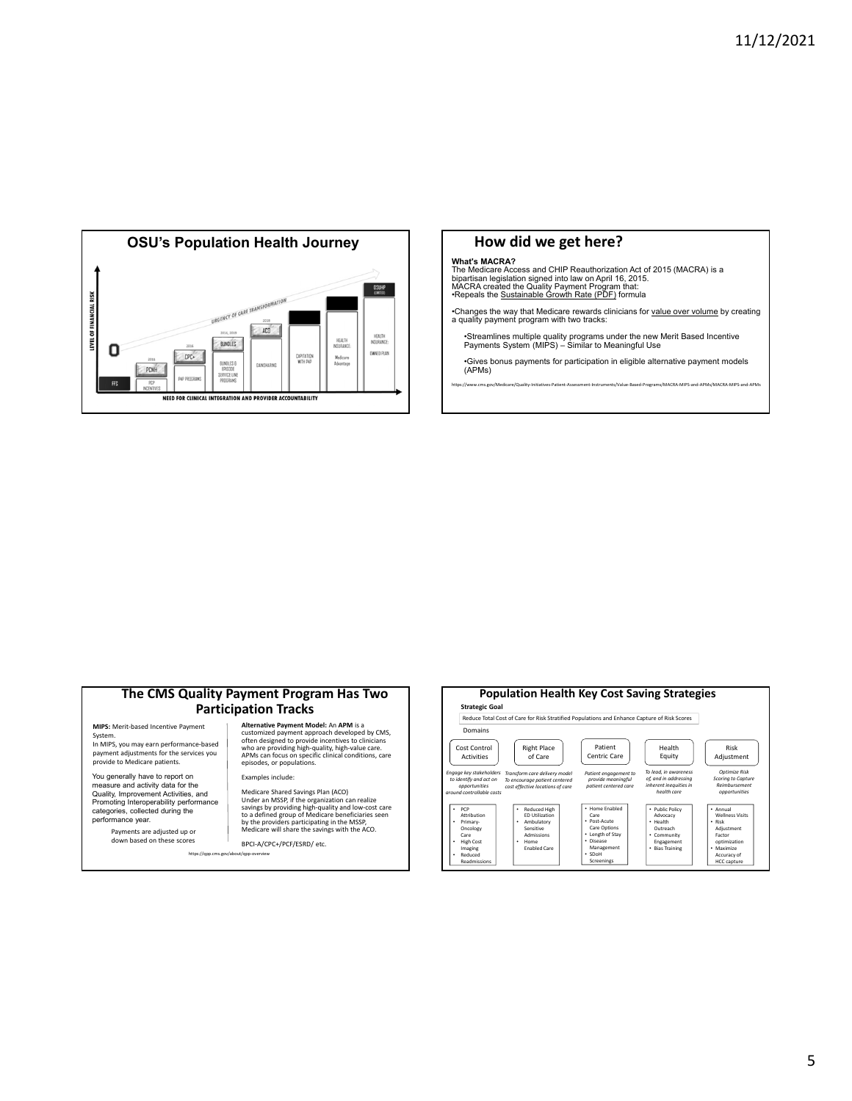

### **How did we get here?**

#### **What's MACRA?**

The Medicare Access and CHIP Reauthorization Act of 2015 (MACRA) is a<br>bipartisan legislation signed into law on April 16, 2015.<br>MACRA created the Quality Payment Program that:<br>•Repeals the <u>Sustainable Growth Rate (PDF)</u> f

∙Changes the way that Medicare rewards clinicians for <u>value over volume</u> by creating<br>a quality payment program with two tracks:

•Streamlines multiple quality programs under the new Merit Based Incentive Payments System (MIPS) – Similar to Meaningful Use

•Gives bonus payments for participation in eligible alternative payment models (APMs)

https://www.cms.gov/Medicare/Quality‐Initiatives‐Patient‐Assessment‐Instruments/Value‐Based‐Programs/MACRA‐MIPS‐and‐APMs/MACRA‐MIPS‐and‐APMs

#### **The CMS Quality Payment Program Has Two Participation Tracks**

**MIPS:** Merit‐based Incentive Payment Syste In MIPS, you may earn performance-based payment adjustments for the services you provide to Medicare patients.

You generally have to report on measure and activity data for the Quality, Improvement Activities, and Promoting Interoperability performance categories, collected during the performance year.

https://qpp.cms.gov/al Payments are adjusted up or down based on these scores

Alternative Payment Model: An APM is a<br>customized payment approach developed by CMS,<br>often designed to provide incentives to clinicians<br>who are providing high-quality, high-value care.<br>APMs can focus on specific clinical c Examples include:

Medicare Shared Savings Plan (ACO) Under an MSSP, if the organization can realize<br>savings by providing high-quality and low-cost care<br>to a defined group of Medicare beneficiaries seen<br>by the providers participating in the MSSP,<br>Medicare will share the savin

BPCI‐A/CPC+/PCF/ESRD/ etc.